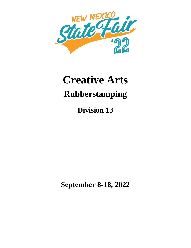

# **Creative Arts Rubberstamping**

**Division 13**

**September 8-18, 2022**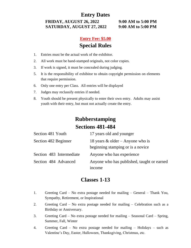## **Entry Dates**

**FRIDAY, AUGUST 26, 2022 9:00 AM to 5:00 PM SATURDAY, AUGUST 27, 2022 9:00 AM to 5:00 PM**

## **Entry Fee: \$5.00 Special Rules**

- 1. Entries must be the actual work of the exhibitor.
- 2. All work must be hand-stamped originals, not color copies.
- 3. If work is signed, it must be concealed during judging.
- 5. It is the responsibility of exhibitor to obtain copyright permission on elements that require permission.
- 6. Only one entry per Class. All entries will be displayed
- 7. Judges may reclassify entries if needed.
- 8. Youth should be present physically to enter their own entry. Adults may assist youth with their entry, but must not actually create the entry.

# **Rubberstamping Sections 481-484**

| Section 481 Youth        | 17 years old and younger                                                 |
|--------------------------|--------------------------------------------------------------------------|
| Section 482 Beginner     | 18 years $\&$ older – Anyone who is<br>beginning stamping or is a novice |
| Section 483 Intermediate | Anyone who has experience                                                |
| Section 484 Advanced     | Anyone who has published, taught or earned<br>income                     |

### **Classes 1-13**

- 1. Greeting Card No extra postage needed for mailing General Thank You, Sympathy, Retirement, or Inspirational
- 2. Greeting Card No extra postage needed for mailing Celebration such as a Birthday or Anniversary.
- 3. Greeting Card No extra postage needed for mailing Seasonal Card Spring, Summer, Fall, Winter
- 4. Greeting Card No extra postage needed for mailing Holidays such as Valentine's Day, Easter, Halloween, Thanksgiving, Christmas, etc.